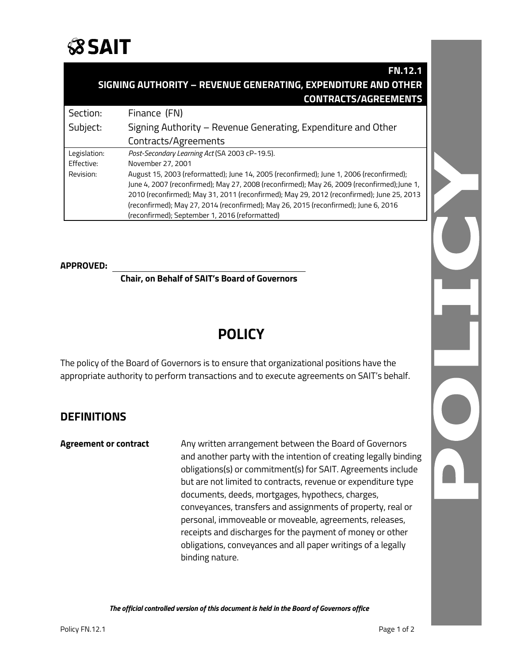

|                                                               | <b>FN.12.1</b>                                                                              |
|---------------------------------------------------------------|---------------------------------------------------------------------------------------------|
| SIGNING AUTHORITY - REVENUE GENERATING, EXPENDITURE AND OTHER |                                                                                             |
|                                                               | <b>CONTRACTS/AGREEMENTS</b>                                                                 |
| Section:                                                      | Finance (FN)                                                                                |
| Subject:                                                      | Signing Authority – Revenue Generating, Expenditure and Other                               |
|                                                               | Contracts/Agreements                                                                        |
| Legislation:                                                  | Post-Secondary Learning Act (SA 2003 cP-19.5).                                              |
| Effective:                                                    | November 27, 2001                                                                           |
| Revision:                                                     | August 15, 2003 (reformatted); June 14, 2005 (reconfirmed); June 1, 2006 (reconfirmed);     |
|                                                               | June 4, 2007 (reconfirmed); May 27, 2008 (reconfirmed); May 26, 2009 (reconfirmed); June 1, |
|                                                               | 2010 (reconfirmed); May 31, 2011 (reconfirmed); May 29, 2012 (reconfirmed); June 25, 2013   |
|                                                               | (reconfirmed); May 27, 2014 (reconfirmed); May 26, 2015 (reconfirmed); June 6, 2016         |
|                                                               | (reconfirmed); September 1, 2016 (reformatted)                                              |

### **APPROVED:**

**Chair, on Behalf of SAIT's Board of Governors**

## **POLICY**

The policy of the Board of Governors is to ensure that organizational positions have the appropriate authority to perform transactions and to execute agreements on SAIT's behalf.

## **DEFINITIONS**

**Agreement or contract** Any written arrangement between the Board of Governors and another party with the intention of creating legally binding obligations(s) or commitment(s) for SAIT. Agreements include but are not limited to contracts, revenue or expenditure type documents, deeds, mortgages, hypothecs, charges, conveyances, transfers and assignments of property, real or personal, immoveable or moveable, agreements, releases, receipts and discharges for the payment of money or other obligations, conveyances and all paper writings of a legally binding nature.

*The official controlled version of this document is held in the Board of Governors office*